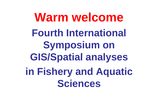**Warm welcome Fourth International Symposium on GIS/Spatial analyses** in Fishery and Aquatic **Sciences**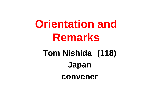# **Orientation and Remarks**

# Tom Nishida (118) Japan convener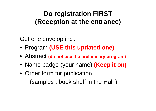### **Do registration FIRST (Reception at the entrance)**

Get one envelop incl.

- Program **(USE this updated one)**
- **•** Abstract (do not use the preliminary program)
- Name badge (your name) **(Keep it on)**
- Order form for publication (samples : book shelf in the Hall )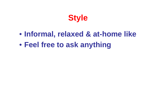

#### $\bullet$ **Informal, relaxed & at-home like**

 $\bullet$ **F l f t k thi Feel free to ask anything**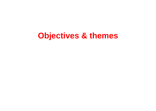# **Objectives & themes**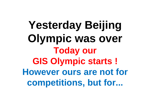Yesterday Beijing Olympic was over **Today our GIS Olympic starts! However ours are not for** competitions, but for...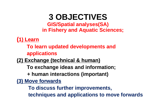#### **3 OBJECTIVES GIS/Spatial analyses(SA) in Fishery and Aquatic Sciences;**

**(1) Learn**

**To learn updated developments and applications** 

**(2) Exchange (technical & human)**

**To exchange ideas and information;**

**+ human interactions (important)**

**(3) Move forwards**

**To discuss further improvements,** 

**techniques and applications to move forwards**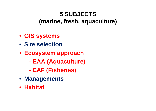#### **5 SUBJECTS(marine, fresh, aquaculture)**

- **GIS systems**
- **Sit l ti Site selection**
- **Ecosy pp stem approach** 
	- **- EAA (Aquaculture)**
	- **-EAF (Fi h i ) (Fisheries)**
- **Managements**
- **Habitat**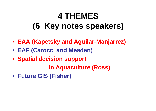# **4 THEMES (y p ) 6 Key notes speakers)**

- **EAA (Kapetsky and Aguilar Aguilar-Manjarrez) Manjarrez)**
- **EAF (Carocci and Meaden)**
- **Spatial decision support**

**in Aquaculture (Ross)**

• **Future GIS (Fisher)**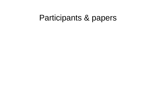# Participants & papers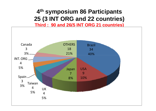#### **4th symposium 86 Participants 25 (3 INT ORG and 22 co ntries) countries)**

**Third : 90 and 26(5 INT ORG 21 countries)** 

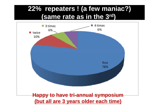#### **22% repeaters ! (a few maniac?) (same rate as in the 3rd 3 )**

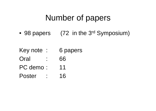# Number of papers

•98 papers (72 in the 3<sup>rd</sup> Symposium)

Key note : 6 papers

- Oral : 66
- PC demo : 11
- Poster : 16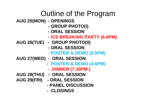# Outline of the Program

- **AUG 25(MON) - OPENINGS** 
	- **- GROUP PHOTO(I)**
	- **- ORAL SESSION**
	- **- ICE BREAKING PARTY (6-8PM)**
- **AUG 26(TUE) 26(TUE) - GROUP PHOTO(II)**
	- **- ORAL SESSION**
	- **- POSTER & DEMO (2-5PM )**
- **AUG 27(WED) - ORAL SESSION**
	- **-POSTER & DEMO (4-6PM)**
	- **- DINNER (7 30PM (7:30PM - )**
- **AUG 28(THU) - ORAL SESSION**
- **AUG 29(FRI) 29(FRI) - ORAL SESSION**
	- **- PANEL DISCUSSION**
	- **- CLOSINGS**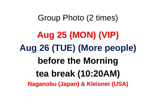# Group Photo (2 times)

**Aug 25 (MON) (VIP) Aug 26 (TUE) (More people) before the Morning tea break (10:20AM) Naganobu (Japan) & Kleisner (USA)**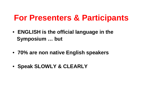# **For Presenters & Participants**

- **ENGLISH i th ffi i l l i th is the offi cial language in e Symposium … but**
- **70% are non native En glish speakers**
- **Speak SLOWLY & CLEARLY**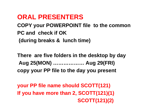#### **ORAL PRESENTERS**

**COPY your POWERPOINT file to the common PC and check if OK(g ) durin g breaks & lunch time**

**There are five folders in the desktop by day Aug 25(MON) ……………… Aug 29(FRI) copy your PP file to the day you present** 

**your PP file name should SCOTT(121) If you have more than 2 SCOTT(121)(1) 2, SCOTT(121)(2)**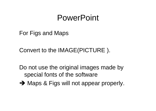# PowerPoint

For Figs and Maps

Convert to the IMAGE(PICTURE ).

Do not use the original images made by special fonts of the software

 $\rightarrow$  Maps & Figs will not appear properly.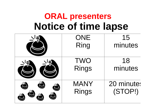# **ORAL presenters Notice of time lapse**

| <b>ONE</b>           | 15<br>minutes |  |
|----------------------|---------------|--|
| Ring                 |               |  |
|                      | 18            |  |
| <b>TWO<br/>Rings</b> | minutes       |  |
| MANY                 | 20 minutes    |  |
| Rings                | (STOP!)       |  |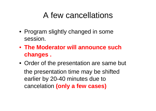# A few cancellations

- Program slightly changed in some session.
- **The Moderator will announce such changes .**
- Order of the presentation are same but the presentation time may be shifted earlier by 20-40 minutes due to cancelation **(only a few cases)**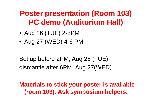# **Poster presentation (Room 103) PC demo (Auditorium Hall)**

- Aug 26 (TUE) 2-5PM
- Aug 27 (WED) 4-6 PM

Set up before 2PM, Aug 26 (TUE) dismantle after 6PM, Aug 27(WED)

**Materials to stick your poster is available (room 103). Ask symposium helpers.**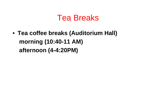# Tea Breaks

• **Tea coffee breaks (Auditorium Hall) morning (10:40 (10:40-11 AM) afternoon (4-4:20PM)**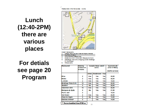#### **Reducedo in the Venue area** vicinty

Lunch  $(12:40-2PM)$ there are various places

#### **For detials** see page 20 Program



- **Reachautomb**
- Market Move Mc III
- **Lo Media**, "Se effect м
- fummentel octibuil Ciub ٠
- Catanna's Chil, IPort's Selt, Marques dio Outlo
- Botatogo Prais Grill, Shopping Center Botatogo ÷. - hood plaza
- McDonaldia 81.

| <b>Restaurant</b>     | Walking<br>d is fano o in<br>m Inufact | Accepts these ored it<br>oand st |                   |             | Approxim ab<br>price in RS/ka<br>(Buttet service) |
|-----------------------|----------------------------------------|----------------------------------|-------------------|-------------|---------------------------------------------------|
|                       |                                        |                                  |                   |             |                                                   |
|                       |                                        | Аннох                            | <b>Masteroard</b> | Msa         |                                                   |
| <b>MIR</b>            | ÷.                                     | Marc                             | <b>Yes</b>        | <b>Yes</b>  | 33,90                                             |
| Millalto:             | 2                                      | <b>Yes:</b>                      | Yes               | <b>Yes</b>  | 35,00                                             |
| La Molo               | 2                                      | Yes                              | Yes               | Yes         | 19,00                                             |
| Botafogo Praia Grilli | 10                                     | <b>You</b>                       | <b>Yes</b>        | <b>Yes</b>  | 20,00                                             |
| <b>Sootton</b>        | ×                                      | No                               | Yes               | <b>Yes:</b> | 22.00                                             |
| Catarina's Grill      | 10                                     | Ves                              | <b>Yes:</b>       | <b>Yes</b>  | 22,00                                             |
| Marques de Guile      | 8                                      | В'n                              | You               | Yms         | 21,00                                             |
| Port's Self           | 愛                                      |                                  |                   |             | 19,00                                             |
| Wia Farant            | 2                                      | Ves                              | <b>Yes</b>        | <b>Yes</b>  | 43,00                                             |
| Casa da Sogra         | ÷.                                     | No                               | Yes               | <b>Yes</b>  | 12,00                                             |
| Deliolas à Mesa*      | ż                                      | ÷                                | Yes               | Yes         | 14,00                                             |

\*\* Berres breakfast, from 07:30 on: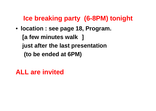#### **lce** breaking party (6-8PM) tonight

• **location : see page 18, Program. [a few minutes walk ] just after the last presentation (to be ended at 6PM) be**

**ALL are invited**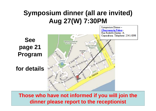### **Symposium dinner (all are invited) Aug 27(W) 7:30PM**

**See page 21 Program**

**for details**



**Those who have not informed if you will join the dinner please report to the receptionist**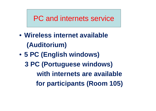#### PC and internets service

- **Wireless internet available (A dit i ) uditor ium**
- **5 PC (English windows) windows) 3 PC (Portuguese windows) with internets are availablefor participants (Room 105)**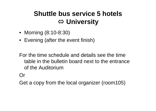### **Shuttle bus service 5 hotels**  Ù **University**

- Morning (8:10-8:30)
- Evening (after the event finish)

For the time schedule and details see the time table in the bulletin board next to the entrance of the Auditorium

Or

Get a copy from the local organizer (room105)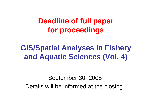**Deadline of full pape r for proceedings**

**GIS/Spatial Analyses in Fishery and Aquatic Sciences (Vol 4) (Vol.** 

September 30, 2008 Details will be informed at the closing.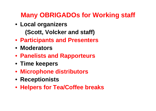### **Many OBRIGADOs for Working staff**

- **Local organizers (S tt V l k d t ff) (Scott, Volcker and staff)**
- **Participants and Presenters**
- **Moderators**
- **Panelists and Rapporteurs Panelists**
- **Time keepers**
- **Microphone distributors**
- **Receptionists**
- **Helpers for Tea/Coffee breaks**